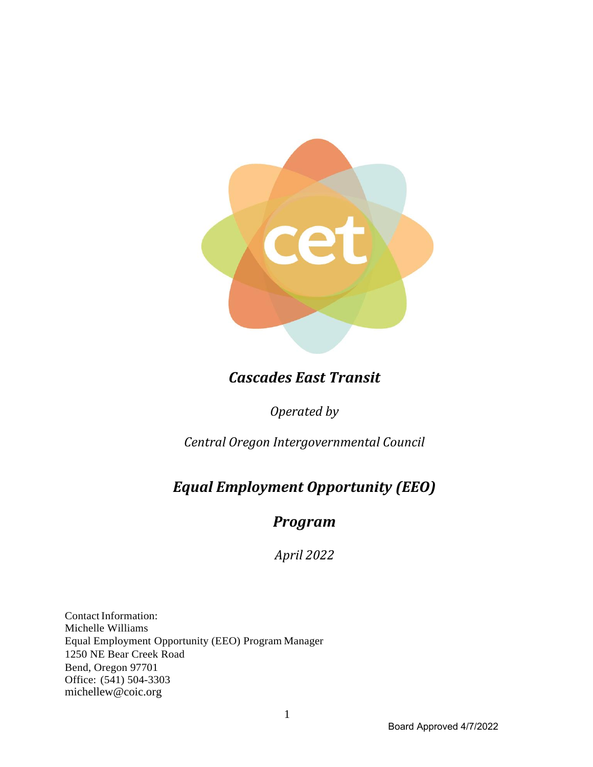

# *Cascades East Transit*

*Operated by* 

*Central Oregon Intergovernmental Council*

# *Equal Employment Opportunity (EEO)*

# *Program*

*April 2022* 

Contact Information: Michelle Williams Equal Employment Opportunity (EEO) Program Manager 1250 NE Bear Creek Road Bend, Oregon 97701 Office: (541) 504-3303 michellew@coic.org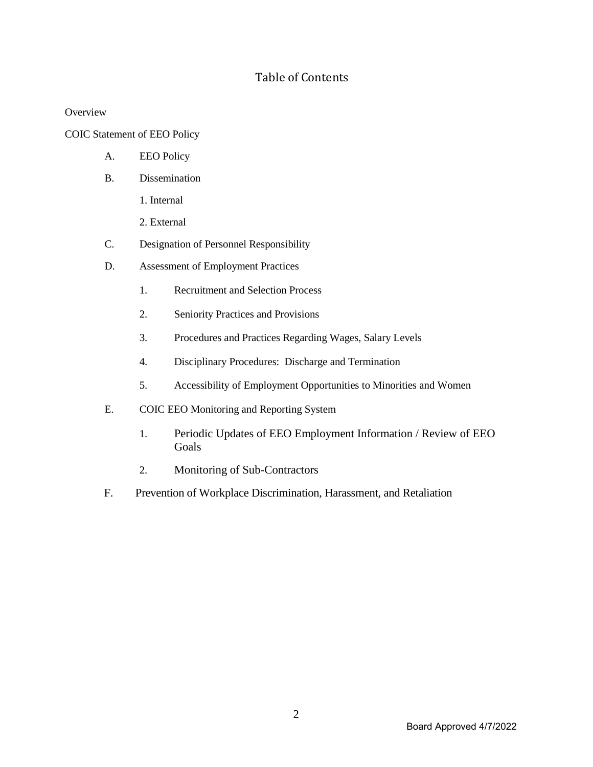# Table of Contents

**Overview** 

COIC Statement of EEO Policy

- A. EEO Policy
- B. Dissemination
	- 1. Internal
	- 2. External
- C. Designation of Personnel Responsibility
- D. Assessment of Employment Practices
	- 1. Recruitment and Selection Process
	- 2. Seniority Practices and Provisions
	- 3. Procedures and Practices Regarding Wages, Salary Levels
	- 4. Disciplinary Procedures: Discharge and Termination
	- 5. Accessibility of Employment Opportunities to Minorities and Women
- E. COIC EEO Monitoring and Reporting System
	- 1. Periodic Updates of EEO Employment Information / Review of EEO Goals
	- 2. Monitoring of Sub-Contractors
- F. Prevention of Workplace Discrimination, Harassment, and Retaliation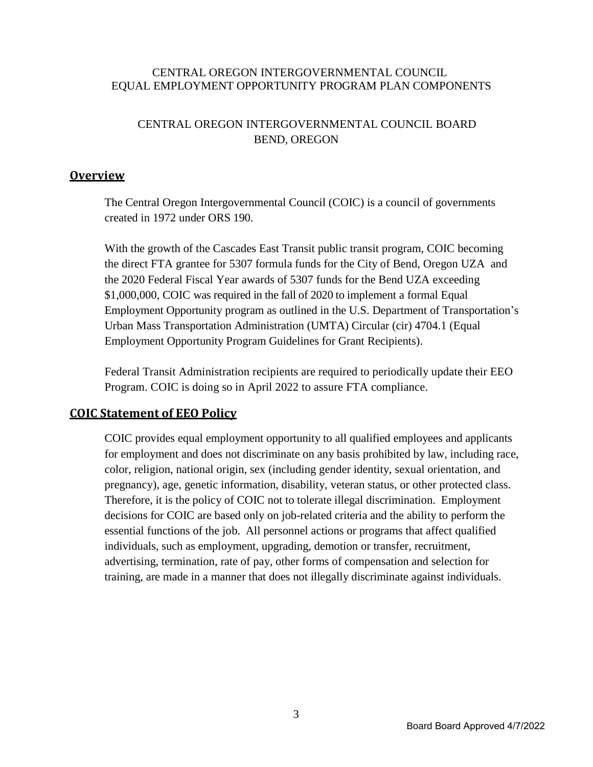#### CENTRAL OREGON INTERGOVERNMENTAL COUNCIL EQUAL EMPLOYMENT OPPORTUNITY PROGRAM PLAN COMPONENTS

## CENTRAL OREGON INTERGOVERNMENTAL COUNCIL BOARD BEND, OREGON

### **Overview**

The Central Oregon Intergovernmental Council (COIC) is a council of governments created in 1972 under ORS 190.

With the growth of the Cascades East Transit public transit program, COIC becoming the direct FTA grantee for 5307 formula funds for the City of Bend, Oregon UZA and the 2020 Federal Fiscal Year awards of 5307 funds for the Bend UZA exceeding \$1,000,000, COIC was required in the fall of 2020 to implement a formal Equal Employment Opportunity program as outlined in the U.S. Department of Transportation's Urban Mass Transportation Administration (UMTA) Circular (cir) 4704.1 (Equal Employment Opportunity Program Guidelines for Grant Recipients).

Federal Transit Administration recipients are required to periodically update their EEO Program. COIC is doing so in April 2022 to assure FTA compliance.

### **COIC Statement of EEO Policy**

COIC provides equal employment opportunity to all qualified employees and applicants for employment and does not discriminate on any basis prohibited by law, including race, color, religion, national origin, sex (including gender identity, sexual orientation, and pregnancy), age, genetic information, disability, veteran status, or other protected class. Therefore, it is the policy of COIC not to tolerate illegal discrimination. Employment decisions for COIC are based only on job-related criteria and the ability to perform the essential functions of the job. All personnel actions or programs that affect qualified individuals, such as employment, upgrading, demotion or transfer, recruitment, advertising, termination, rate of pay, other forms of compensation and selection for training, are made in a manner that does not illegally discriminate against individuals.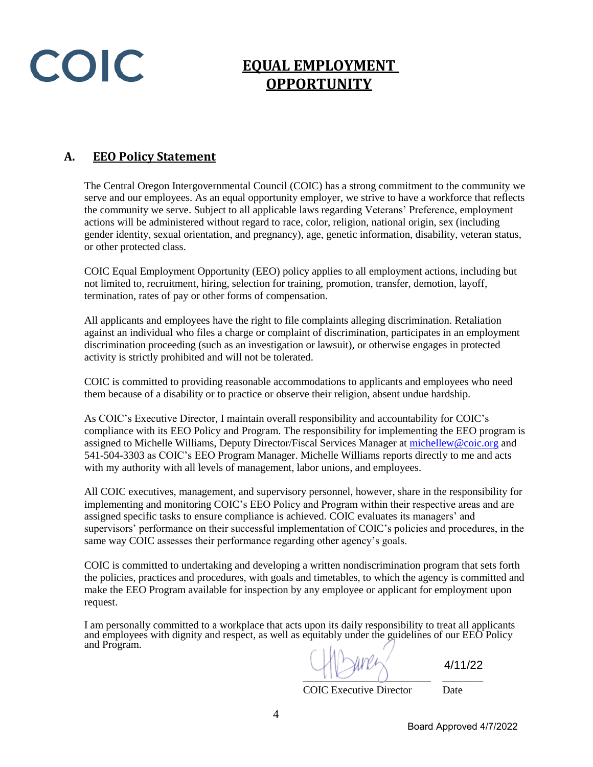COIC

# **EQUAL EMPLOYMENT OPPORTUNITY**

# **A. EEO Policy Statement**

The Central Oregon Intergovernmental Council (COIC) has a strong commitment to the community we serve and our employees. As an equal opportunity employer, we strive to have a workforce that reflects the community we serve. Subject to all applicable laws regarding Veterans' Preference, employment actions will be administered without regard to race, color, religion, national origin, sex (including gender identity, sexual orientation, and pregnancy), age, genetic information, disability, veteran status, or other protected class.

COIC Equal Employment Opportunity (EEO) policy applies to all employment actions, including but not limited to, recruitment, hiring, selection for training, promotion, transfer, demotion, layoff, termination, rates of pay or other forms of compensation.

All applicants and employees have the right to file complaints alleging discrimination. Retaliation against an individual who files a charge or complaint of discrimination, participates in an employment discrimination proceeding (such as an investigation or lawsuit), or otherwise engages in protected activity is strictly prohibited and will not be tolerated.

COIC is committed to providing reasonable accommodations to applicants and employees who need them because of a disability or to practice or observe their religion, absent undue hardship.

As COIC's Executive Director, I maintain overall responsibility and accountability for COIC's compliance with its EEO Policy and Program. The responsibility for implementing the EEO program is assigned to Michelle Williams, Deputy Director/Fiscal Services Manager at [michellew@coic.org](mailto:michellew@coic.org) and 541-504-3303 as COIC's EEO Program Manager. Michelle Williams reports directly to me and acts with my authority with all levels of management, labor unions, and employees.

All COIC executives, management, and supervisory personnel, however, share in the responsibility for implementing and monitoring COIC's EEO Policy and Program within their respective areas and are assigned specific tasks to ensure compliance is achieved. COIC evaluates its managers' and supervisors' performance on their successful implementation of COIC's policies and procedures, in the same way COIC assesses their performance regarding other agency's goals.

COIC is committed to undertaking and developing a written nondiscrimination program that sets forth the policies, practices and procedures, with goals and timetables, to which the agency is committed and make the EEO Program available for inspection by any employee or applicant for employment upon request.

I am personally committed to a workplace that acts upon its daily responsibility to treat all applicants and employees with dignity and respect, as well as equitably under the guidelines of our EEO Policy and Program.

 $\cup$ 

4/11/22

COIC Executive Director Date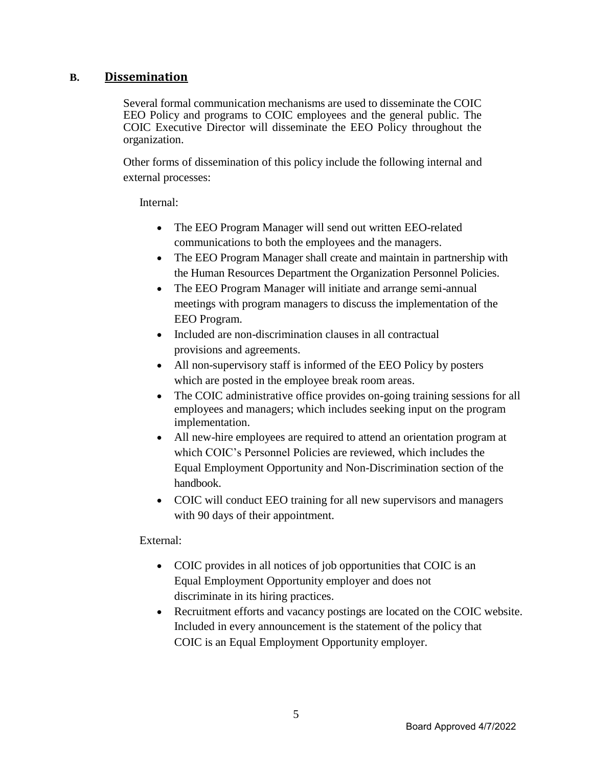## **B. Dissemination**

Several formal communication mechanisms are used to disseminate the COIC EEO Policy and programs to COIC employees and the general public. The COIC Executive Director will disseminate the EEO Policy throughout the organization.

Other forms of dissemination of this policy include the following internal and external processes:

#### Internal:

- The EEO Program Manager will send out written EEO-related communications to both the employees and the managers.
- The EEO Program Manager shall create and maintain in partnership with the Human Resources Department the Organization Personnel Policies.
- The EEO Program Manager will initiate and arrange semi-annual meetings with program managers to discuss the implementation of the EEO Program.
- Included are non-discrimination clauses in all contractual provisions and agreements.
- All non-supervisory staff is informed of the EEO Policy by posters which are posted in the employee break room areas.
- The COIC administrative office provides on-going training sessions for all employees and managers; which includes seeking input on the program implementation.
- All new-hire employees are required to attend an orientation program at which COIC's Personnel Policies are reviewed, which includes the Equal Employment Opportunity and Non-Discrimination section of the handbook.
- COIC will conduct EEO training for all new supervisors and managers with 90 days of their appointment.

### External:

- COIC provides in all notices of job opportunities that COIC is an Equal Employment Opportunity employer and does not discriminate in its hiring practices.
- Recruitment efforts and vacancy postings are located on the COIC website. Included in every announcement is the statement of the policy that COIC is an Equal Employment Opportunity employer.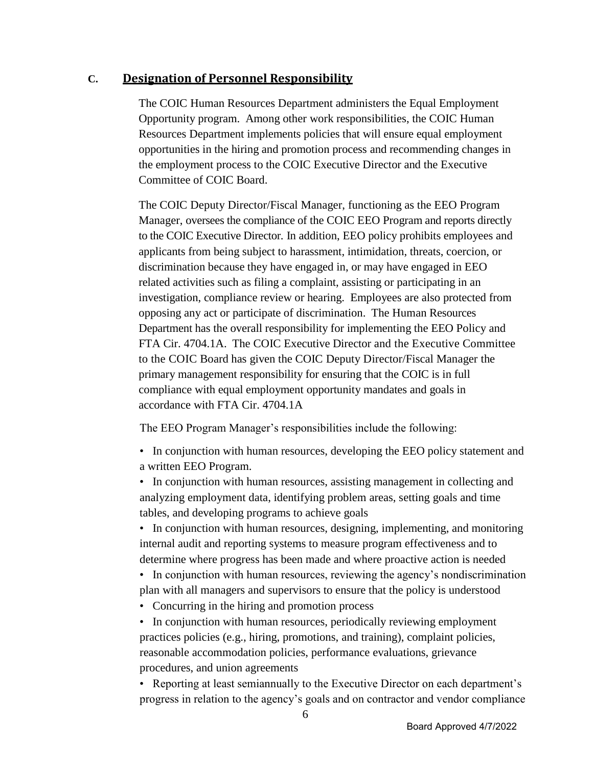## **C. Designation of Personnel Responsibility**

The COIC Human Resources Department administers the Equal Employment Opportunity program. Among other work responsibilities, the COIC Human Resources Department implements policies that will ensure equal employment opportunities in the hiring and promotion process and recommending changes in the employment process to the COIC Executive Director and the Executive Committee of COIC Board.

The COIC Deputy Director/Fiscal Manager, functioning as the EEO Program Manager, oversees the compliance of the COIC EEO Program and reports directly to the COIC Executive Director. In addition, EEO policy prohibits employees and applicants from being subject to harassment, intimidation, threats, coercion, or discrimination because they have engaged in, or may have engaged in EEO related activities such as filing a complaint, assisting or participating in an investigation, compliance review or hearing. Employees are also protected from opposing any act or participate of discrimination. The Human Resources Department has the overall responsibility for implementing the EEO Policy and FTA Cir. 4704.1A. The COIC Executive Director and the Executive Committee to the COIC Board has given the COIC Deputy Director/Fiscal Manager the primary management responsibility for ensuring that the COIC is in full compliance with equal employment opportunity mandates and goals in accordance with FTA Cir. 4704.1A

The EEO Program Manager's responsibilities include the following:

• In conjunction with human resources, developing the EEO policy statement and a written EEO Program.

• In conjunction with human resources, assisting management in collecting and analyzing employment data, identifying problem areas, setting goals and time tables, and developing programs to achieve goals

• In conjunction with human resources, designing, implementing, and monitoring internal audit and reporting systems to measure program effectiveness and to determine where progress has been made and where proactive action is needed

• In conjunction with human resources, reviewing the agency's nondiscrimination plan with all managers and supervisors to ensure that the policy is understood

• Concurring in the hiring and promotion process

• In conjunction with human resources, periodically reviewing employment practices policies (e.g., hiring, promotions, and training), complaint policies, reasonable accommodation policies, performance evaluations, grievance procedures, and union agreements

• Reporting at least semiannually to the Executive Director on each department's progress in relation to the agency's goals and on contractor and vendor compliance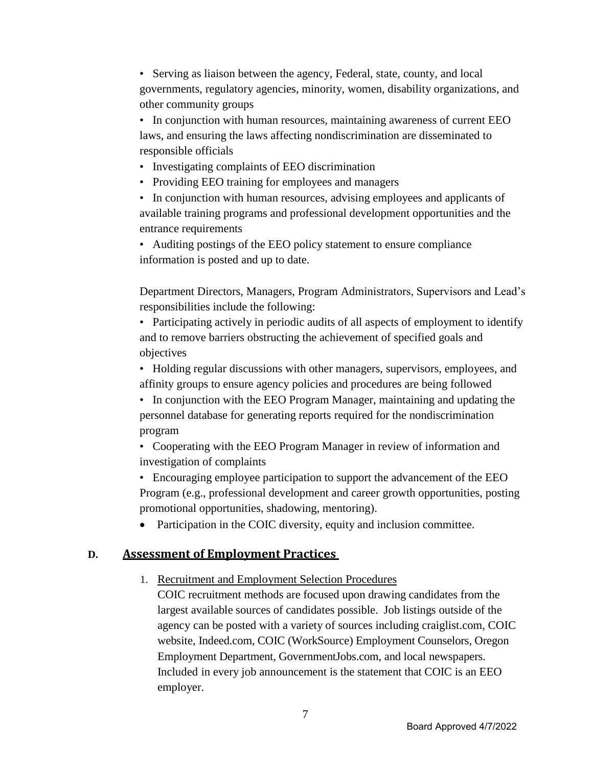• Serving as liaison between the agency, Federal, state, county, and local governments, regulatory agencies, minority, women, disability organizations, and other community groups

• In conjunction with human resources, maintaining awareness of current EEO laws, and ensuring the laws affecting nondiscrimination are disseminated to responsible officials

- Investigating complaints of EEO discrimination
- Providing EEO training for employees and managers

• In conjunction with human resources, advising employees and applicants of available training programs and professional development opportunities and the entrance requirements

• Auditing postings of the EEO policy statement to ensure compliance information is posted and up to date.

Department Directors, Managers, Program Administrators, Supervisors and Lead's responsibilities include the following:

• Participating actively in periodic audits of all aspects of employment to identify and to remove barriers obstructing the achievement of specified goals and objectives

• Holding regular discussions with other managers, supervisors, employees, and affinity groups to ensure agency policies and procedures are being followed

• In conjunction with the EEO Program Manager, maintaining and updating the personnel database for generating reports required for the nondiscrimination program

• Cooperating with the EEO Program Manager in review of information and investigation of complaints

• Encouraging employee participation to support the advancement of the EEO Program (e.g., professional development and career growth opportunities, posting promotional opportunities, shadowing, mentoring).

• Participation in the COIC diversity, equity and inclusion committee.

### **D. Assessment of Employment Practices**

### 1. Recruitment and Employment Selection Procedures

COIC recruitment methods are focused upon drawing candidates from the largest available sources of candidates possible. Job listings outside of the agency can be posted with a variety of sources including craiglist.com, COIC website, Indeed.com, COIC (WorkSource) Employment Counselors, Oregon Employment Department, GovernmentJobs.com, and local newspapers. Included in every job announcement is the statement that COIC is an EEO employer.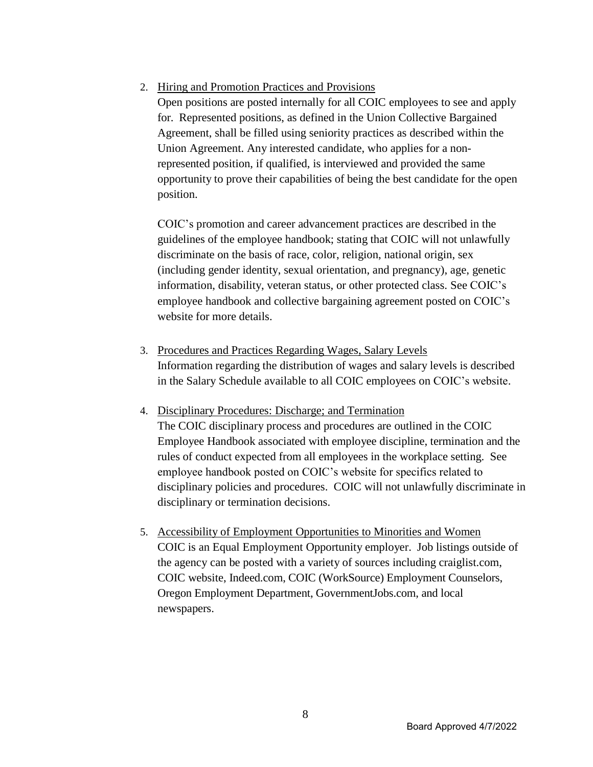# 2. Hiring and Promotion Practices and Provisions

Open positions are posted internally for all COIC employees to see and apply for. Represented positions, as defined in the Union Collective Bargained Agreement, shall be filled using seniority practices as described within the Union Agreement. Any interested candidate, who applies for a nonrepresented position, if qualified, is interviewed and provided the same opportunity to prove their capabilities of being the best candidate for the open position.

COIC's promotion and career advancement practices are described in the guidelines of the employee handbook; stating that COIC will not unlawfully discriminate on the basis of race, color, religion, national origin, sex (including gender identity, sexual orientation, and pregnancy), age, genetic information, disability, veteran status, or other protected class. See COIC's employee handbook and collective bargaining agreement posted on COIC's website for more details.

- 3. Procedures and Practices Regarding Wages, Salary Levels Information regarding the distribution of wages and salary levels is described in the Salary Schedule available to all COIC employees on COIC's website.
- 4. Disciplinary Procedures: Discharge; and Termination The COIC disciplinary process and procedures are outlined in the COIC Employee Handbook associated with employee discipline, termination and the rules of conduct expected from all employees in the workplace setting. See employee handbook posted on COIC's website for specifics related to disciplinary policies and procedures. COIC will not unlawfully discriminate in disciplinary or termination decisions.
- 5. Accessibility of Employment Opportunities to Minorities and Women COIC is an Equal Employment Opportunity employer. Job listings outside of the agency can be posted with a variety of sources including craiglist.com, COIC website, Indeed.com, COIC (WorkSource) Employment Counselors, Oregon Employment Department, GovernmentJobs.com, and local newspapers.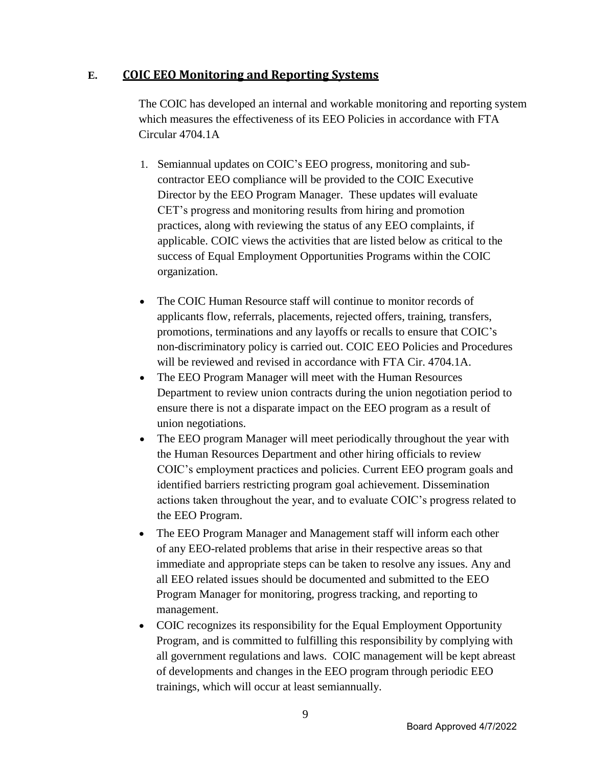# **E. COIC EEO Monitoring and Reporting Systems**

The COIC has developed an internal and workable monitoring and reporting system which measures the effectiveness of its EEO Policies in accordance with FTA Circular 4704.1A

- 1. Semiannual updates on COIC's EEO progress, monitoring and subcontractor EEO compliance will be provided to the COIC Executive Director by the EEO Program Manager. These updates will evaluate CET's progress and monitoring results from hiring and promotion practices, along with reviewing the status of any EEO complaints, if applicable. COIC views the activities that are listed below as critical to the success of Equal Employment Opportunities Programs within the COIC organization.
- The COIC Human Resource staff will continue to monitor records of applicants flow, referrals, placements, rejected offers, training, transfers, promotions, terminations and any layoffs or recalls to ensure that COIC's non-discriminatory policy is carried out. COIC EEO Policies and Procedures will be reviewed and revised in accordance with FTA Cir. 4704.1A.
- The EEO Program Manager will meet with the Human Resources Department to review union contracts during the union negotiation period to ensure there is not a disparate impact on the EEO program as a result of union negotiations.
- The EEO program Manager will meet periodically throughout the year with the Human Resources Department and other hiring officials to review COIC's employment practices and policies. Current EEO program goals and identified barriers restricting program goal achievement. Dissemination actions taken throughout the year, and to evaluate COIC's progress related to the EEO Program.
- The EEO Program Manager and Management staff will inform each other of any EEO-related problems that arise in their respective areas so that immediate and appropriate steps can be taken to resolve any issues. Any and all EEO related issues should be documented and submitted to the EEO Program Manager for monitoring, progress tracking, and reporting to management.
- COIC recognizes its responsibility for the Equal Employment Opportunity Program, and is committed to fulfilling this responsibility by complying with all government regulations and laws. COIC management will be kept abreast of developments and changes in the EEO program through periodic EEO trainings, which will occur at least semiannually.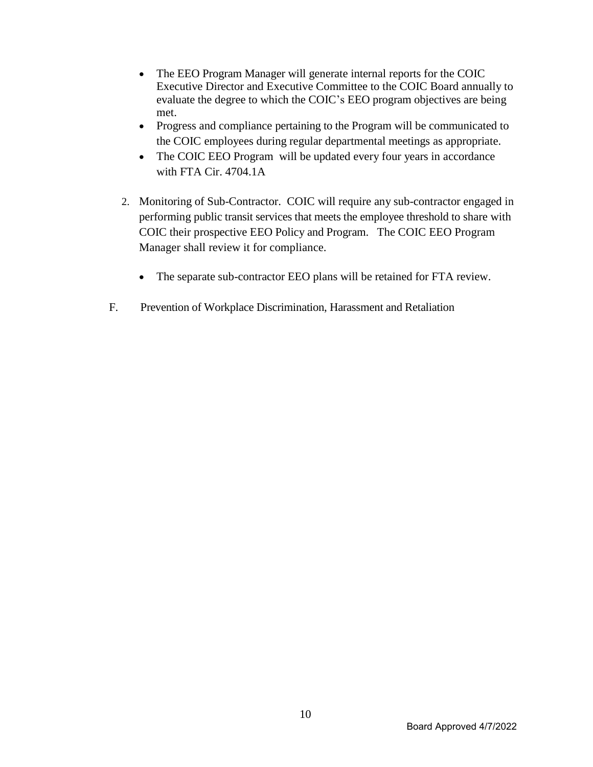- The EEO Program Manager will generate internal reports for the COIC Executive Director and Executive Committee to the COIC Board annually to evaluate the degree to which the COIC's EEO program objectives are being met.
- Progress and compliance pertaining to the Program will be communicated to the COIC employees during regular departmental meetings as appropriate.
- The COIC EEO Program will be updated every four years in accordance with FTA Cir. 4704.1A
- 2. Monitoring of Sub-Contractor. COIC will require any sub-contractor engaged in performing public transit services that meets the employee threshold to share with COIC their prospective EEO Policy and Program. The COIC EEO Program Manager shall review it for compliance.
	- The separate sub-contractor EEO plans will be retained for FTA review.
- F. Prevention of Workplace Discrimination, Harassment and Retaliation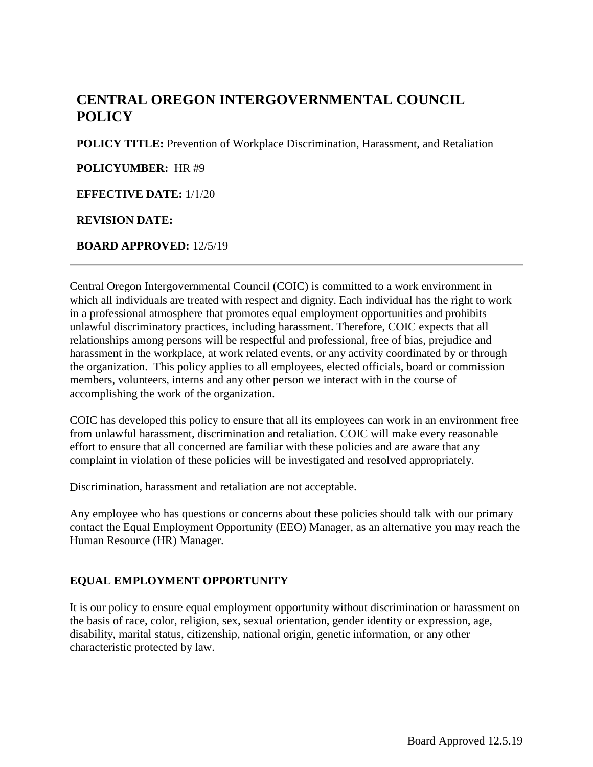# **CENTRAL OREGON INTERGOVERNMENTAL COUNCIL POLICY**

**POLICY TITLE:** Prevention of Workplace Discrimination, Harassment, and Retaliation

**POLICYUMBER:** HR #9

**EFFECTIVE DATE:** 1/1/20

#### **REVISION DATE:**

**BOARD APPROVED:** 12/5/19

Central Oregon Intergovernmental Council (COIC) is committed to a work environment in which all individuals are treated with respect and dignity. Each individual has the right to work in a professional atmosphere that promotes equal employment opportunities and prohibits unlawful discriminatory practices, including harassment. Therefore, COIC expects that all relationships among persons will be respectful and professional, free of bias, prejudice and harassment in the workplace, at work related events, or any activity coordinated by or through the organization. This policy applies to all employees, elected officials, board or commission members, volunteers, interns and any other person we interact with in the course of accomplishing the work of the organization.

COIC has developed this policy to ensure that all its employees can work in an environment free from unlawful harassment, discrimination and retaliation. COIC will make every reasonable effort to ensure that all concerned are familiar with these policies and are aware that any complaint in violation of these policies will be investigated and resolved appropriately.

Discrimination, harassment and retaliation are not acceptable.

Any employee who has questions or concerns about these policies should talk with our primary contact the Equal Employment Opportunity (EEO) Manager, as an alternative you may reach the Human Resource (HR) Manager.

### **EQUAL EMPLOYMENT OPPORTUNITY**

It is our policy to ensure equal employment opportunity without discrimination or harassment on the basis of race, color, religion, sex, sexual orientation, gender identity or expression, age, disability, marital status, citizenship, national origin, genetic information, or any other characteristic protected by law.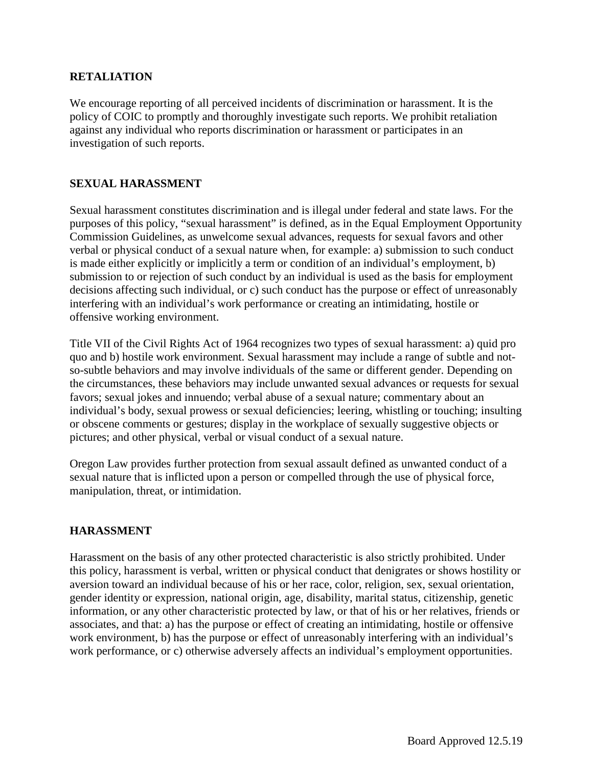#### **RETALIATION**

We encourage reporting of all perceived incidents of discrimination or harassment. It is the policy of COIC to promptly and thoroughly investigate such reports. We prohibit retaliation against any individual who reports discrimination or harassment or participates in an investigation of such reports.

#### **SEXUAL HARASSMENT**

Sexual harassment constitutes discrimination and is illegal under federal and state laws. For the purposes of this policy, "sexual harassment" is defined, as in the Equal Employment Opportunity Commission Guidelines, as unwelcome sexual advances, requests for sexual favors and other verbal or physical conduct of a sexual nature when, for example: a) submission to such conduct is made either explicitly or implicitly a term or condition of an individual's employment, b) submission to or rejection of such conduct by an individual is used as the basis for employment decisions affecting such individual, or c) such conduct has the purpose or effect of unreasonably interfering with an individual's work performance or creating an intimidating, hostile or offensive working environment.

Title VII of the Civil Rights Act of 1964 recognizes two types of sexual harassment: a) quid pro quo and b) hostile work environment. Sexual harassment may include a range of subtle and notso-subtle behaviors and may involve individuals of the same or different gender. Depending on the circumstances, these behaviors may include unwanted sexual advances or requests for sexual favors; sexual jokes and innuendo; verbal abuse of a sexual nature; commentary about an individual's body, sexual prowess or sexual deficiencies; leering, whistling or touching; insulting or obscene comments or gestures; display in the workplace of sexually suggestive objects or pictures; and other physical, verbal or visual conduct of a sexual nature.

Oregon Law provides further protection from sexual assault defined as unwanted conduct of a sexual nature that is inflicted upon a person or compelled through the use of physical force, manipulation, threat, or intimidation.

#### **HARASSMENT**

Harassment on the basis of any other protected characteristic is also strictly prohibited. Under this policy, harassment is verbal, written or physical conduct that denigrates or shows hostility or aversion toward an individual because of his or her race, color, religion, sex, sexual orientation, gender identity or expression, national origin, age, disability, marital status, citizenship, genetic information, or any other characteristic protected by law, or that of his or her relatives, friends or associates, and that: a) has the purpose or effect of creating an intimidating, hostile or offensive work environment, b) has the purpose or effect of unreasonably interfering with an individual's work performance, or c) otherwise adversely affects an individual's employment opportunities.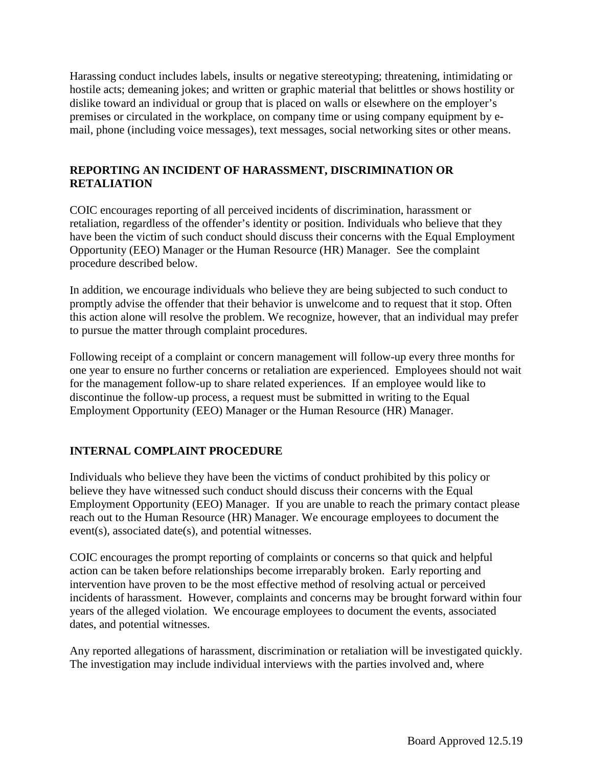Harassing conduct includes labels, insults or negative stereotyping; threatening, intimidating or hostile acts; demeaning jokes; and written or graphic material that belittles or shows hostility or dislike toward an individual or group that is placed on walls or elsewhere on the employer's premises or circulated in the workplace, on company time or using company equipment by email, phone (including voice messages), text messages, social networking sites or other means.

## **REPORTING AN INCIDENT OF HARASSMENT, DISCRIMINATION OR RETALIATION**

COIC encourages reporting of all perceived incidents of discrimination, harassment or retaliation, regardless of the offender's identity or position. Individuals who believe that they have been the victim of such conduct should discuss their concerns with the Equal Employment Opportunity (EEO) Manager or the Human Resource (HR) Manager. See the complaint procedure described below.

In addition, we encourage individuals who believe they are being subjected to such conduct to promptly advise the offender that their behavior is unwelcome and to request that it stop. Often this action alone will resolve the problem. We recognize, however, that an individual may prefer to pursue the matter through complaint procedures.

Following receipt of a complaint or concern management will follow-up every three months for one year to ensure no further concerns or retaliation are experienced. Employees should not wait for the management follow-up to share related experiences. If an employee would like to discontinue the follow-up process, a request must be submitted in writing to the Equal Employment Opportunity (EEO) Manager or the Human Resource (HR) Manager.

# **INTERNAL COMPLAINT PROCEDURE**

Individuals who believe they have been the victims of conduct prohibited by this policy or believe they have witnessed such conduct should discuss their concerns with the Equal Employment Opportunity (EEO) Manager. If you are unable to reach the primary contact please reach out to the Human Resource (HR) Manager. We encourage employees to document the event(s), associated date(s), and potential witnesses.

COIC encourages the prompt reporting of complaints or concerns so that quick and helpful action can be taken before relationships become irreparably broken. Early reporting and intervention have proven to be the most effective method of resolving actual or perceived incidents of harassment. However, complaints and concerns may be brought forward within four years of the alleged violation. We encourage employees to document the events, associated dates, and potential witnesses.

Any reported allegations of harassment, discrimination or retaliation will be investigated quickly. The investigation may include individual interviews with the parties involved and, where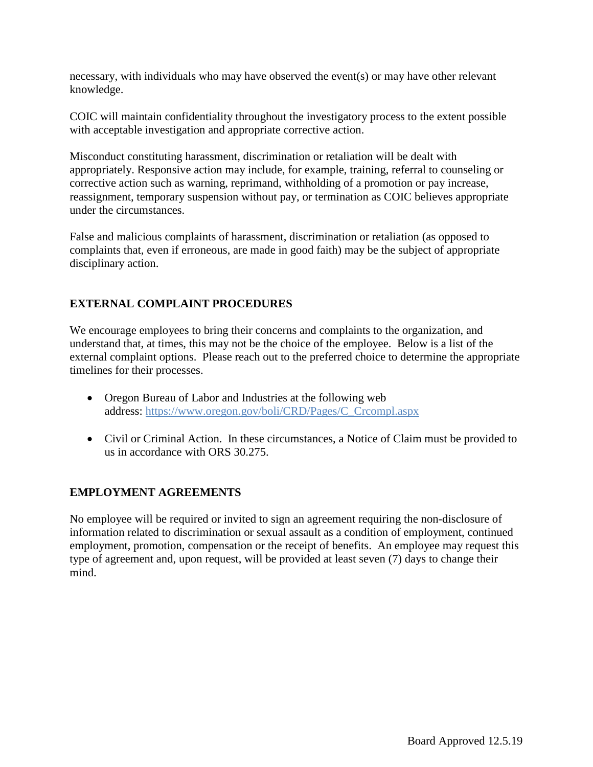necessary, with individuals who may have observed the event(s) or may have other relevant knowledge.

COIC will maintain confidentiality throughout the investigatory process to the extent possible with acceptable investigation and appropriate corrective action.

Misconduct constituting harassment, discrimination or retaliation will be dealt with appropriately. Responsive action may include, for example, training, referral to counseling or corrective action such as warning, reprimand, withholding of a promotion or pay increase, reassignment, temporary suspension without pay, or termination as COIC believes appropriate under the circumstances.

False and malicious complaints of harassment, discrimination or retaliation (as opposed to complaints that, even if erroneous, are made in good faith) may be the subject of appropriate disciplinary action.

# **EXTERNAL COMPLAINT PROCEDURES**

We encourage employees to bring their concerns and complaints to the organization, and understand that, at times, this may not be the choice of the employee. Below is a list of the external complaint options. Please reach out to the preferred choice to determine the appropriate timelines for their processes.

- Oregon Bureau of Labor and Industries at the following web address: [https://www.oregon.gov/boli/CRD/Pages/C\\_Crcompl.aspx](https://www.oregon.gov/boli/CRD/Pages/C_Crcompl.aspx)
- Civil or Criminal Action. In these circumstances, a Notice of Claim must be provided to us in accordance with ORS 30.275.

### **EMPLOYMENT AGREEMENTS**

No employee will be required or invited to sign an agreement requiring the non-disclosure of information related to discrimination or sexual assault as a condition of employment, continued employment, promotion, compensation or the receipt of benefits. An employee may request this type of agreement and, upon request, will be provided at least seven (7) days to change their mind.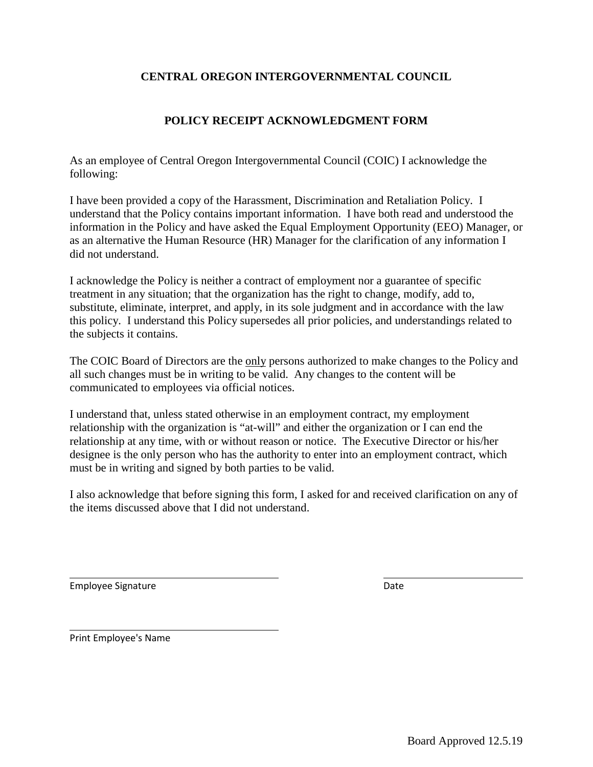# **CENTRAL OREGON INTERGOVERNMENTAL COUNCIL**

# **POLICY RECEIPT ACKNOWLEDGMENT FORM**

As an employee of Central Oregon Intergovernmental Council (COIC) I acknowledge the following:

I have been provided a copy of the Harassment, Discrimination and Retaliation Policy. I understand that the Policy contains important information. I have both read and understood the information in the Policy and have asked the Equal Employment Opportunity (EEO) Manager, or as an alternative the Human Resource (HR) Manager for the clarification of any information I did not understand.

I acknowledge the Policy is neither a contract of employment nor a guarantee of specific treatment in any situation; that the organization has the right to change, modify, add to, substitute, eliminate, interpret, and apply, in its sole judgment and in accordance with the law this policy. I understand this Policy supersedes all prior policies, and understandings related to the subjects it contains.

The COIC Board of Directors are the <u>only</u> persons authorized to make changes to the Policy and all such changes must be in writing to be valid. Any changes to the content will be communicated to employees via official notices.

I understand that, unless stated otherwise in an employment contract, my employment relationship with the organization is "at-will" and either the organization or I can end the relationship at any time, with or without reason or notice. The Executive Director or his/her designee is the only person who has the authority to enter into an employment contract, which must be in writing and signed by both parties to be valid.

I also acknowledge that before signing this form, I asked for and received clarification on any of the items discussed above that I did not understand.

Employee Signature **Date** Date **Date** Date **Date** 

Print Employee's Name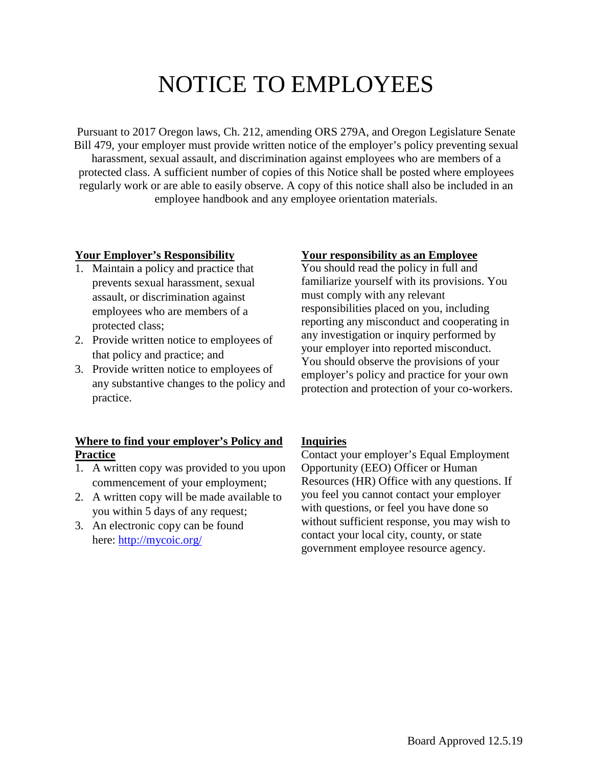# NOTICE TO EMPLOYEES

Pursuant to 2017 Oregon laws, Ch. 212, amending ORS 279A, and Oregon Legislature Senate Bill 479, your employer must provide written notice of the employer's policy preventing sexual harassment, sexual assault, and discrimination against employees who are members of a protected class. A sufficient number of copies of this Notice shall be posted where employees regularly work or are able to easily observe. A copy of this notice shall also be included in an employee handbook and any employee orientation materials.

#### **Your Employer's Responsibility**

- 1. Maintain a policy and practice that prevents sexual harassment, sexual assault, or discrimination against employees who are members of a protected class;
- 2. Provide written notice to employees of that policy and practice; and
- 3. Provide written notice to employees of any substantive changes to the policy and practice.

# **Where to find your employer's Policy and Practice**

- 1. A written copy was provided to you upon commencement of your employment;
- 2. A written copy will be made available to you within 5 days of any request;
- 3. An electronic copy can be found here:<http://mycoic.org/>

# **Your responsibility as an Employee**

You should read the policy in full and familiarize yourself with its provisions. You must comply with any relevant responsibilities placed on you, including reporting any misconduct and cooperating in any investigation or inquiry performed by your employer into reported misconduct. You should observe the provisions of your employer's policy and practice for your own protection and protection of your co-workers.

#### **Inquiries**

Contact your employer's Equal Employment Opportunity (EEO) Officer or Human Resources (HR) Office with any questions. If you feel you cannot contact your employer with questions, or feel you have done so without sufficient response, you may wish to contact your local city, county, or state government employee resource agency.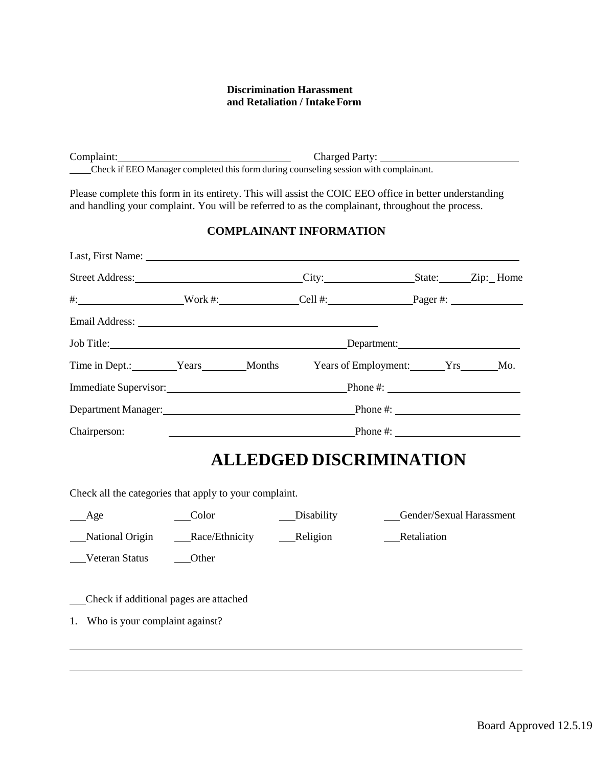#### **Discrimination Harassment and Retaliation / IntakeForm**

Complaint: Complaint: Complaint: Check if EEO Manager completed this form during counseling session with complainant.

Please complete this form in its entirety. This will assist the COIC EEO office in better understanding and handling your complaint. You will be referred to as the complainant, throughout the process.

#### **COMPLAINANT INFORMATION**

| Street Address:             |                                                                                   |  | City:                                | State: <u>Zip:</u> Home |  |  |
|-----------------------------|-----------------------------------------------------------------------------------|--|--------------------------------------|-------------------------|--|--|
|                             |                                                                                   |  | #: Nork #: Cell #: Cell + 2 Pager #: |                         |  |  |
|                             |                                                                                   |  |                                      |                         |  |  |
|                             |                                                                                   |  |                                      |                         |  |  |
| Time in Dept.: Years Months |                                                                                   |  | Years of Employment: Yrs Mo.         |                         |  |  |
|                             | Immediate Supervisor: Phone #:                                                    |  |                                      |                         |  |  |
|                             | Department Manager:<br><u>Department</u> Manager:<br>Phone #: $\qquad \qquad$     |  |                                      |                         |  |  |
| Chairperson:                | Phone #: $\qquad \qquad$<br><u> 1986 - Johann Stein, fransk politik (f. 1986)</u> |  |                                      |                         |  |  |

# **ALLEDGED DISCRIMINATION**

Check all the categories that apply to your complaint.

| Age                               | Color                                  | Disability | Gender/Sexual Harassment |
|-----------------------------------|----------------------------------------|------------|--------------------------|
| National Origin                   | Race/Ethnicity                         | Religion   | Retaliation              |
| Veteran Status                    | Other                                  |            |                          |
|                                   |                                        |            |                          |
|                                   | Check if additional pages are attached |            |                          |
| 1. Who is your complaint against? |                                        |            |                          |
|                                   |                                        |            |                          |
|                                   |                                        |            |                          |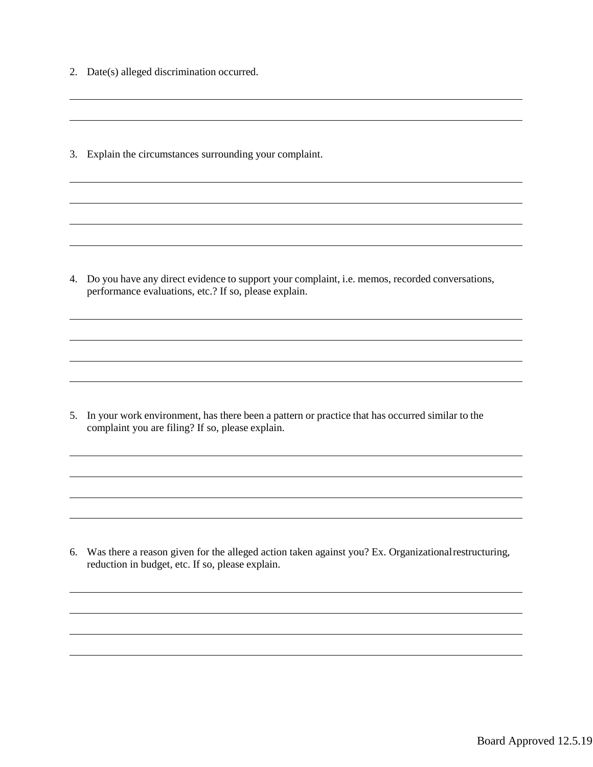- 2. Date(s) alleged discrimination occurred.
- 3. Explain the circumstances surrounding your complaint.

4. Do you have any direct evidence to support your complaint, i.e. memos, recorded conversations, performance evaluations, etc.? If so, please explain.

5. In your work environment, has there been a pattern or practice that has occurred similar to the complaint you are filing? If so, please explain.

6. Was there a reason given for the alleged action taken against you? Ex. Organizational restructuring, reduction in budget, etc. If so, please explain.